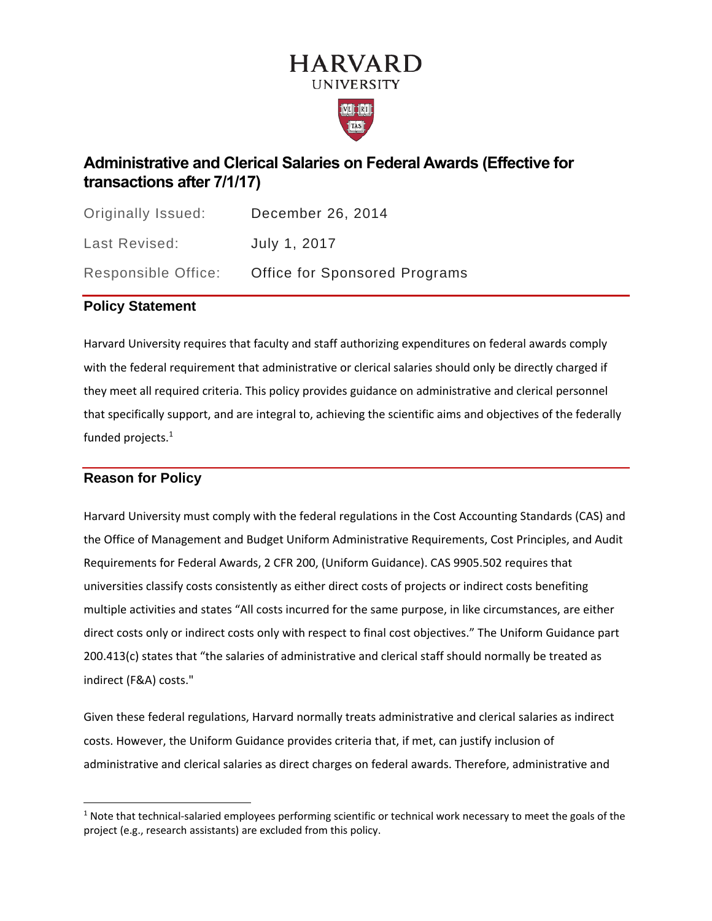# **HARVARD UNIVERSITY**



### **Administrative and Clerical Salaries on Federal Awards (Effective for transactions after 7/1/17)**

| Originally Issued:  | December 26, 2014                    |
|---------------------|--------------------------------------|
| Last Revised:       | July 1, 2017                         |
| Responsible Office: | <b>Office for Sponsored Programs</b> |

#### **Policy Statement**

Harvard University requires that faculty and staff authorizing expenditures on federal awards comply with the federal requirement that administrative or clerical salaries should only be directly charged if they meet all required criteria. This policy provides guidance on administrative and clerical personnel that specifically support, and are integral to, achieving the scientific aims and objectives of the federally funded projects.<sup>1</sup>

#### **Reason for Policy**

Harvard University must comply with the federal regulations in the Cost Accounting Standards (CAS) and the Office of Management and Budget Uniform Administrative Requirements, Cost Principles, and Audit Requirements for Federal Awards, 2 CFR 200, (Uniform Guidance). CAS 9905.502 requires that universities classify costs consistently as either direct costs of projects or indirect costs benefiting multiple activities and states "All costs incurred for the same purpose, in like circumstances, are either direct costs only or indirect costs only with respect to final cost objectives." The Uniform Guidance part 200.413(c) states that "the salaries of administrative and clerical staff should normally be treated as indirect (F&A) costs."

Given these federal regulations, Harvard normally treats administrative and clerical salaries as indirect costs. However, the Uniform Guidance provides criteria that, if met, can justify inclusion of administrative and clerical salaries as direct charges on federal awards. Therefore, administrative and

 $1$  Note that technical-salaried employees performing scientific or technical work necessary to meet the goals of the project (e.g., research assistants) are excluded from this policy.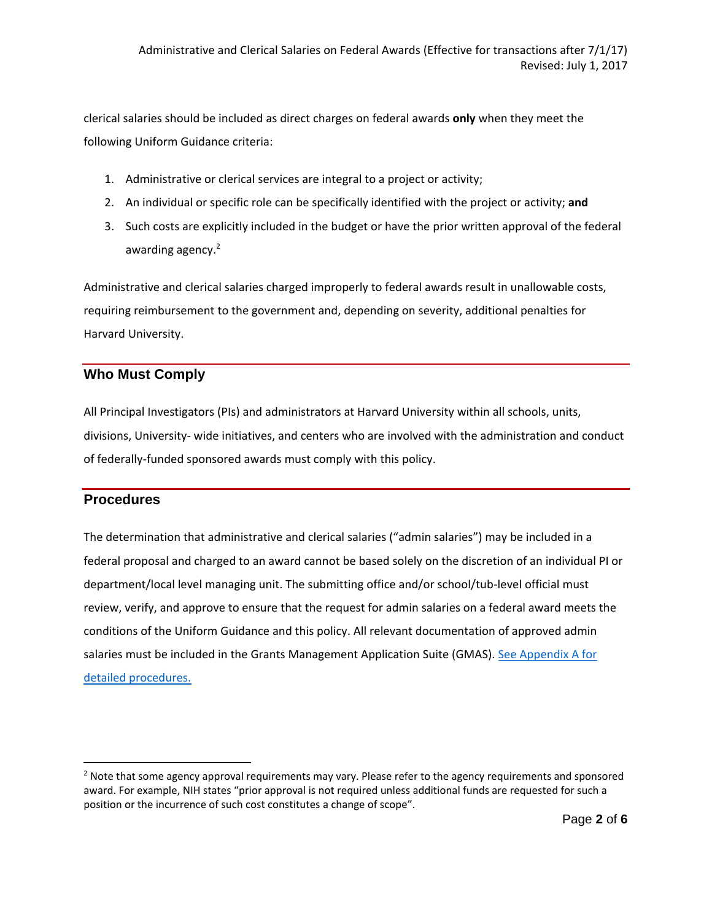clerical salaries should be included as direct charges on federal awards **only** when they meet the following Uniform Guidance criteria:

- 1. Administrative or clerical services are integral to a project or activity;
- 2. An individual or specific role can be specifically identified with the project or activity; **and**
- 3. Such costs are explicitly included in the budget or have the prior written approval of the federal awarding agency.<sup>2</sup>

Administrative and clerical salaries charged improperly to federal awards result in unallowable costs, requiring reimbursement to the government and, depending on severity, additional penalties for Harvard University.

#### **Who Must Comply**

All Principal Investigators (PIs) and administrators at Harvard University within all schools, units, divisions, University- wide initiatives, and centers who are involved with the administration and conduct of federally-funded sponsored awards must comply with this policy.

#### **Procedures**

The determination that administrative and clerical salaries ("admin salaries") may be included in a federal proposal and charged to an award cannot be based solely on the discretion of an individual PI or department/local level managing unit. The submitting office and/or school/tub-level official must review, verify, and approve to ensure that the request for admin salaries on a federal award meets the conditions of the Uniform Guidance and this policy. All relevant documentation of approved admin salaries must be included in the Grants Management Application Suite (GMAS). [See Appendix A for](https://osp.finance.harvard.edu/files/osp/files/procedures_for_direct_charging_of_administrative_salaries_to_federal_awards_final_-_july_1_2017.docx)  [detailed procedures.](https://osp.finance.harvard.edu/files/osp/files/procedures_for_direct_charging_of_administrative_salaries_to_federal_awards_final_-_july_1_2017.docx)

<sup>&</sup>lt;sup>2</sup> Note that some agency approval requirements may vary. Please refer to the agency requirements and sponsored award. For example, NIH states "prior approval is not required unless additional funds are requested for such a position or the incurrence of such cost constitutes a change of scope".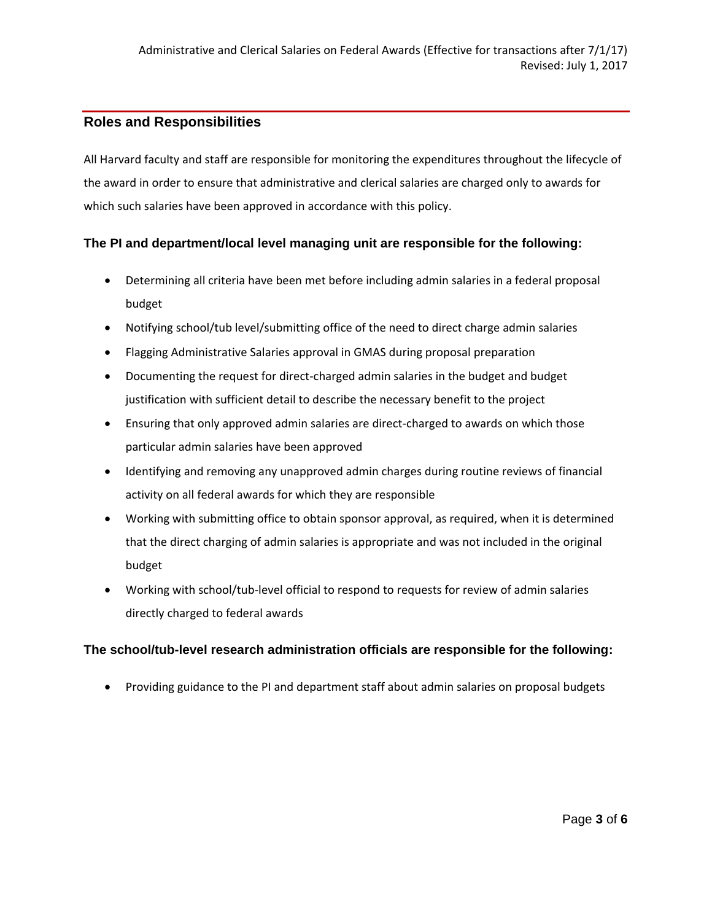#### **Roles and Responsibilities**

All Harvard faculty and staff are responsible for monitoring the expenditures throughout the lifecycle of the award in order to ensure that administrative and clerical salaries are charged only to awards for which such salaries have been approved in accordance with this policy.

#### **The PI and department/local level managing unit are responsible for the following:**

- Determining all criteria have been met before including admin salaries in a federal proposal budget
- Notifying school/tub level/submitting office of the need to direct charge admin salaries
- Flagging Administrative Salaries approval in GMAS during proposal preparation
- Documenting the request for direct-charged admin salaries in the budget and budget justification with sufficient detail to describe the necessary benefit to the project
- Ensuring that only approved admin salaries are direct-charged to awards on which those particular admin salaries have been approved
- Identifying and removing any unapproved admin charges during routine reviews of financial activity on all federal awards for which they are responsible
- Working with submitting office to obtain sponsor approval, as required, when it is determined that the direct charging of admin salaries is appropriate and was not included in the original budget
- Working with school/tub-level official to respond to requests for review of admin salaries directly charged to federal awards

#### **The school/tub-level research administration officials are responsible for the following:**

• Providing guidance to the PI and department staff about admin salaries on proposal budgets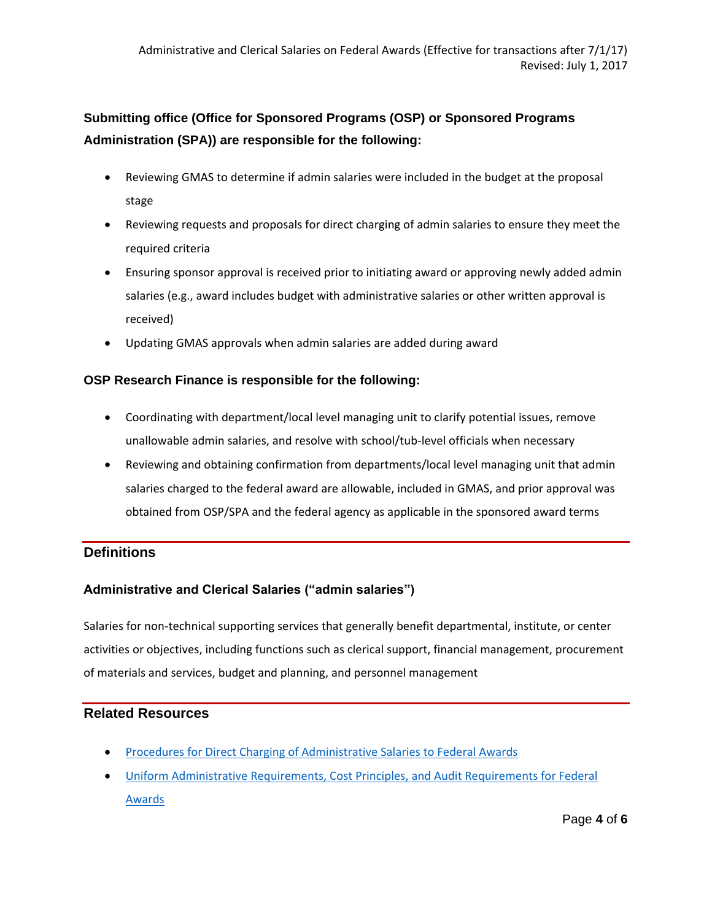## **Submitting office (Office for Sponsored Programs (OSP) or Sponsored Programs Administration (SPA)) are responsible for the following:**

- Reviewing GMAS to determine if admin salaries were included in the budget at the proposal stage
- Reviewing requests and proposals for direct charging of admin salaries to ensure they meet the required criteria
- Ensuring sponsor approval is received prior to initiating award or approving newly added admin salaries (e.g., award includes budget with administrative salaries or other written approval is received)
- Updating GMAS approvals when admin salaries are added during award

#### **OSP Research Finance is responsible for the following:**

- Coordinating with department/local level managing unit to clarify potential issues, remove unallowable admin salaries, and resolve with school/tub-level officials when necessary
- Reviewing and obtaining confirmation from departments/local level managing unit that admin salaries charged to the federal award are allowable, included in GMAS, and prior approval was obtained from OSP/SPA and the federal agency as applicable in the sponsored award terms

#### **Definitions**

#### **Administrative and Clerical Salaries ("admin salaries")**

Salaries for non-technical supporting services that generally benefit departmental, institute, or center activities or objectives, including functions such as clerical support, financial management, procurement of materials and services, budget and planning, and personnel management

#### **Related Resources**

- **[Procedures for Direct Charging of Administrative Salaries to Federal Awards](https://osp.finance.harvard.edu/files/osp/files/procedures_for_direct_charging_of_administrative_salaries_to_federal_awards_final_-_july_1_2017.docx)**
- [Uniform Administrative Requirements, Cost Principles, and Audit Requirements for Federal](https://www.gpo.gov/fdsys/pkg/FR-2013-12-26/pdf/2013-30465.pdf)  [Awards](https://www.gpo.gov/fdsys/pkg/FR-2013-12-26/pdf/2013-30465.pdf)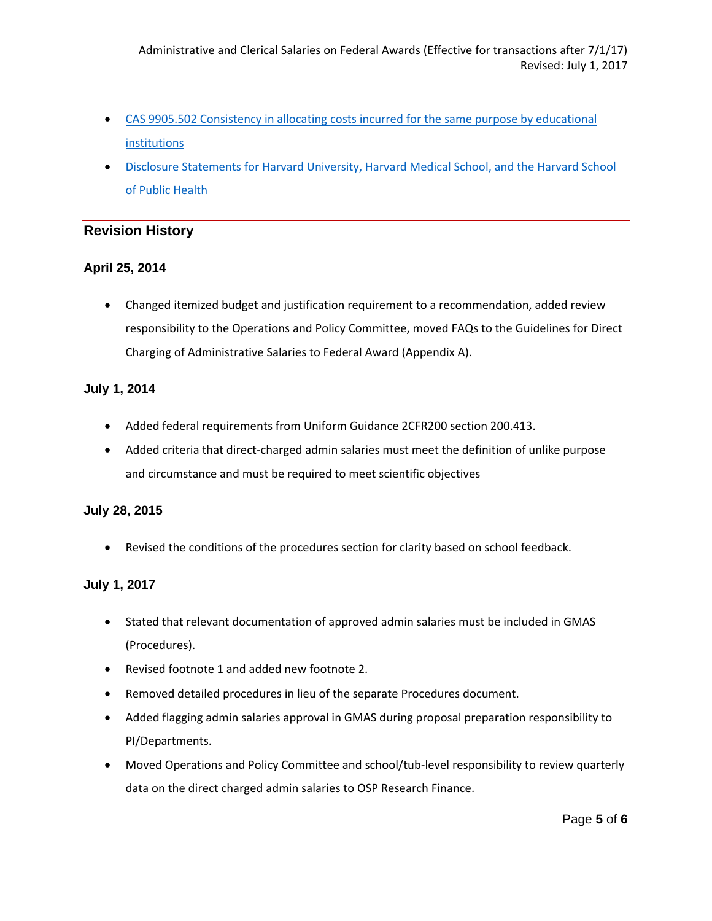- [CAS 9905.502 Consistency in allocating costs incurred for the same purpose by educational](https://www.whitehouse.gov/omb/circulars_a021_2004#appa)  [institutions](https://www.whitehouse.gov/omb/circulars_a021_2004#appa)
- [Disclosure Statements for Harvard University, Harvard Medical School, and the Harvard School](https://osp.finance.harvard.edu/disclosure-statements-and-audits)  [of Public Health](https://osp.finance.harvard.edu/disclosure-statements-and-audits)

#### **Revision History**

#### **April 25, 2014**

• Changed itemized budget and justification requirement to a recommendation, added review responsibility to the Operations and Policy Committee, moved FAQs to the Guidelines for Direct Charging of Administrative Salaries to Federal Award (Appendix A).

#### **July 1, 2014**

- Added federal requirements from Uniform Guidance 2CFR200 section 200.413.
- Added criteria that direct-charged admin salaries must meet the definition of unlike purpose and circumstance and must be required to meet scientific objectives

#### **July 28, 2015**

• Revised the conditions of the procedures section for clarity based on school feedback.

#### **July 1, 2017**

- Stated that relevant documentation of approved admin salaries must be included in GMAS (Procedures).
- Revised footnote 1 and added new footnote 2.
- Removed detailed procedures in lieu of the separate Procedures document.
- Added flagging admin salaries approval in GMAS during proposal preparation responsibility to PI/Departments.
- Moved Operations and Policy Committee and school/tub-level responsibility to review quarterly data on the direct charged admin salaries to OSP Research Finance.